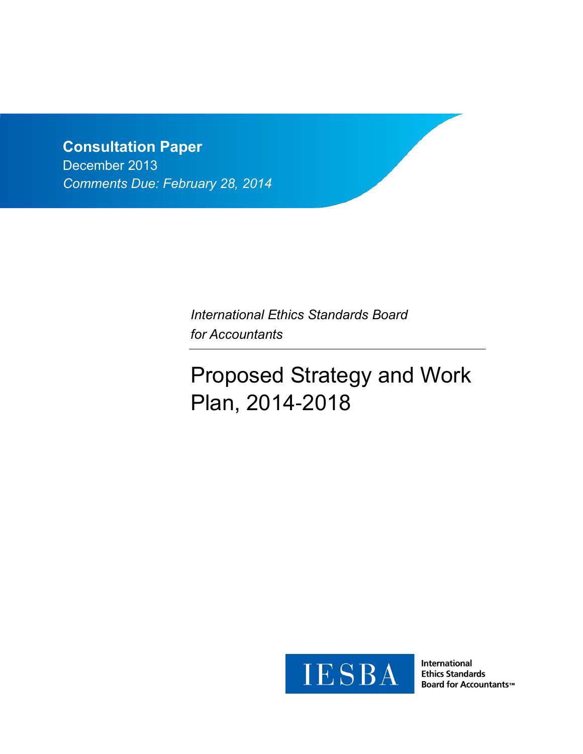# **Consultation Paper**

December 2013 *Comments Due: February 28, 2014*

> *International Ethics Standards Board for Accountants*

# Proposed Strategy and Work Plan, 2014-2018



**International Ethics Standards Board for Accountants™**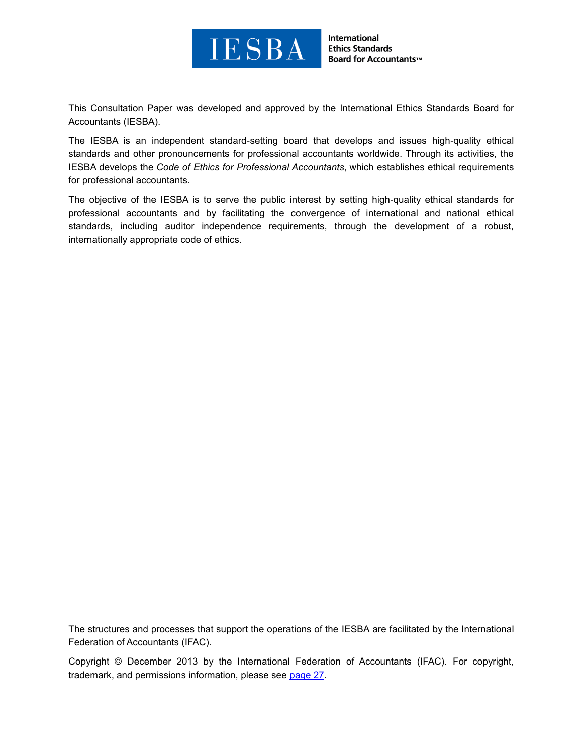

This Consultation Paper was developed and approved by the [International Ethics Standards Board for](http://www.ifac.org/ethics)  [Accountants](http://www.ifac.org/ethics) (IESBA).

The IESBA is an independent standard-setting board that develops and issues high-quality ethical standards and other pronouncements for professional accountants worldwide. Through its activities, the IESBA develops the *Code of Ethics for Professional Accountants*, which establishes ethical requirements for professional accountants.

The objective of the IESBA is to serve the public interest by setting high-quality ethical standards for professional accountants and by facilitating the convergence of international and national ethical standards, including auditor independence requirements, through the development of a robust, internationally appropriate code of ethics.

The structures and processes that support the operations of the IESBA are facilitated by the International Federation of Accountants (IFAC).

Copyright © December 2013 by the International Federation of Accountants (IFAC). For copyright, trademark, and permissions information, please see [page 27.](#page-26-0)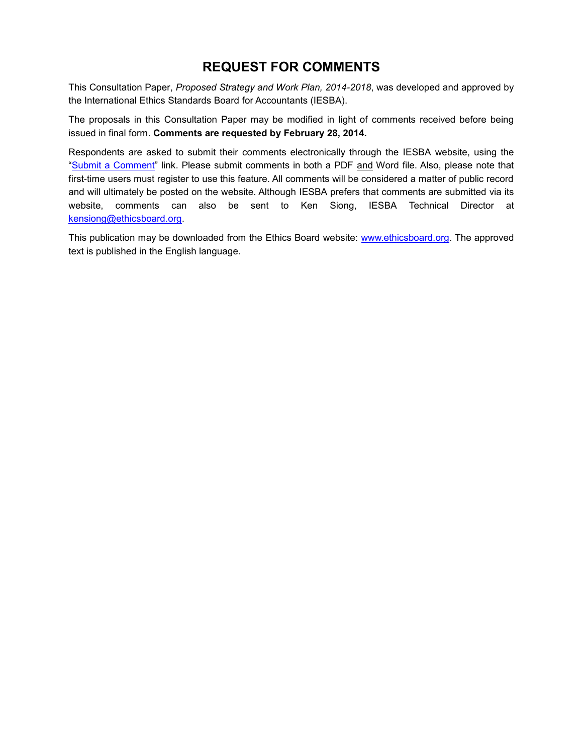# **REQUEST FOR COMMENTS**

This Consultation Paper, *Proposed Strategy and Work Plan, 2014-2018*, was developed and approved by the International Ethics Standards Board for Accountants (IESBA).

The proposals in this Consultation Paper may be modified in light of comments received before being issued in final form. **Comments are requested by February 28, 2014.**

Respondents are asked to submit their comments electronically through the IESBA website, using the ["Submit a Comment"](https://www.ifac.org/publications-resources/submit-comment?exposure-draft=22241) link. Please submit comments in both a PDF and Word file. Also, please note that first-time users must register to use this feature. All comments will be considered a matter of public record and will ultimately be posted on the website. Although IESBA prefers that comments are submitted via its website, comments can also be sent to Ken Siong, IESBA Technical Director at [kensiong@ethicsboard.org.](mailto:kensiong@ethicsboard.org)

This publication may be downloaded from the Ethics Board website: [www.ethicsboard.org.](http://www.ethicsboard.org/) The approved text is published in the English language.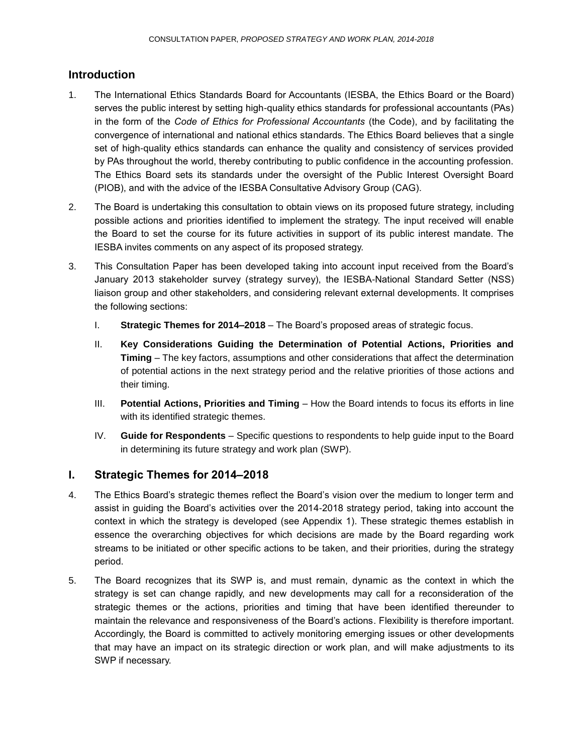# **Introduction**

- 1. The International Ethics Standards Board for Accountants (IESBA, the Ethics Board or the Board) serves the public interest by setting high-quality ethics standards for professional accountants (PAs) in the form of the *Code of Ethics for Professional Accountants* (the Code), and by facilitating the convergence of international and national ethics standards. The Ethics Board believes that a single set of high-quality ethics standards can enhance the quality and consistency of services provided by PAs throughout the world, thereby contributing to public confidence in the accounting profession. The Ethics Board sets its standards under the oversight of the Public Interest Oversight Board (PIOB), and with the advice of the IESBA Consultative Advisory Group (CAG).
- 2. The Board is undertaking this consultation to obtain views on its proposed future strategy, including possible actions and priorities identified to implement the strategy. The input received will enable the Board to set the course for its future activities in support of its public interest mandate. The IESBA invites comments on any aspect of its proposed strategy.
- 3. This Consultation Paper has been developed taking into account input received from the Board's January 2013 stakeholder survey (strategy survey), the IESBA-National Standard Setter (NSS) liaison group and other stakeholders, and considering relevant external developments. It comprises the following sections:
	- I. **Strategic Themes for 2014–2018** The Board's proposed areas of strategic focus.
	- II. **Key Considerations Guiding the Determination of Potential Actions, Priorities and Timing** – The key factors, assumptions and other considerations that affect the determination of potential actions in the next strategy period and the relative priorities of those actions and their timing.
	- III. **Potential Actions, Priorities and Timing** How the Board intends to focus its efforts in line with its identified strategic themes.
	- IV. **Guide for Respondents** Specific questions to respondents to help guide input to the Board in determining its future strategy and work plan (SWP).

# **I. Strategic Themes for 2014–2018**

- 4. The Ethics Board's strategic themes reflect the Board's vision over the medium to longer term and assist in guiding the Board's activities over the 2014-2018 strategy period, taking into account the context in which the strategy is developed (see Appendix 1). These strategic themes establish in essence the overarching objectives for which decisions are made by the Board regarding work streams to be initiated or other specific actions to be taken, and their priorities, during the strategy period.
- 5. The Board recognizes that its SWP is, and must remain, dynamic as the context in which the strategy is set can change rapidly, and new developments may call for a reconsideration of the strategic themes or the actions, priorities and timing that have been identified thereunder to maintain the relevance and responsiveness of the Board's actions. Flexibility is therefore important. Accordingly, the Board is committed to actively monitoring emerging issues or other developments that may have an impact on its strategic direction or work plan, and will make adjustments to its SWP if necessary.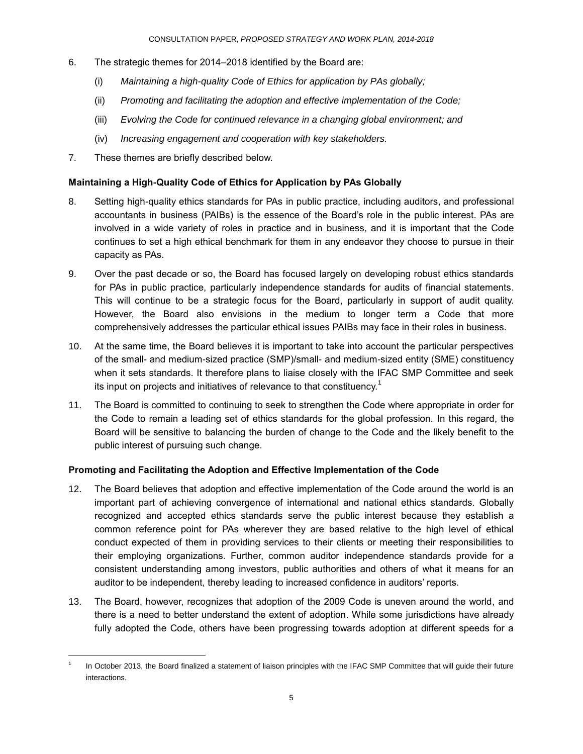- 6. The strategic themes for 2014–2018 identified by the Board are:
	- (i) *Maintaining a high-quality Code of Ethics for application by PAs globally;*
	- (ii) *Promoting and facilitating the adoption and effective implementation of the Code;*
	- (iii) *Evolving the Code for continued relevance in a changing global environment; and*
	- (iv) *Increasing engagement and cooperation with key stakeholders.*
- 7. These themes are briefly described below.

l

#### **Maintaining a High-Quality Code of Ethics for Application by PAs Globally**

- 8. Setting high-quality ethics standards for PAs in public practice, including auditors, and professional accountants in business (PAIBs) is the essence of the Board's role in the public interest. PAs are involved in a wide variety of roles in practice and in business, and it is important that the Code continues to set a high ethical benchmark for them in any endeavor they choose to pursue in their capacity as PAs.
- 9. Over the past decade or so, the Board has focused largely on developing robust ethics standards for PAs in public practice, particularly independence standards for audits of financial statements. This will continue to be a strategic focus for the Board, particularly in support of audit quality. However, the Board also envisions in the medium to longer term a Code that more comprehensively addresses the particular ethical issues PAIBs may face in their roles in business.
- 10. At the same time, the Board believes it is important to take into account the particular perspectives of the small- and medium-sized practice (SMP)/small- and medium-sized entity (SME) constituency when it sets standards. It therefore plans to liaise closely with the IFAC SMP Committee and seek its input on projects and initiatives of relevance to that constituency.<sup>1</sup>
- 11. The Board is committed to continuing to seek to strengthen the Code where appropriate in order for the Code to remain a leading set of ethics standards for the global profession. In this regard, the Board will be sensitive to balancing the burden of change to the Code and the likely benefit to the public interest of pursuing such change.

#### **Promoting and Facilitating the Adoption and Effective Implementation of the Code**

- 12. The Board believes that adoption and effective implementation of the Code around the world is an important part of achieving convergence of international and national ethics standards. Globally recognized and accepted ethics standards serve the public interest because they establish a common reference point for PAs wherever they are based relative to the high level of ethical conduct expected of them in providing services to their clients or meeting their responsibilities to their employing organizations. Further, common auditor independence standards provide for a consistent understanding among investors, public authorities and others of what it means for an auditor to be independent, thereby leading to increased confidence in auditors' reports.
- 13. The Board, however, recognizes that adoption of the 2009 Code is uneven around the world, and there is a need to better understand the extent of adoption. While some jurisdictions have already fully adopted the Code, others have been progressing towards adoption at different speeds for a

<sup>1</sup> In October 2013, the Board finalized a statement of liaison principles with the IFAC SMP Committee that will guide their future interactions.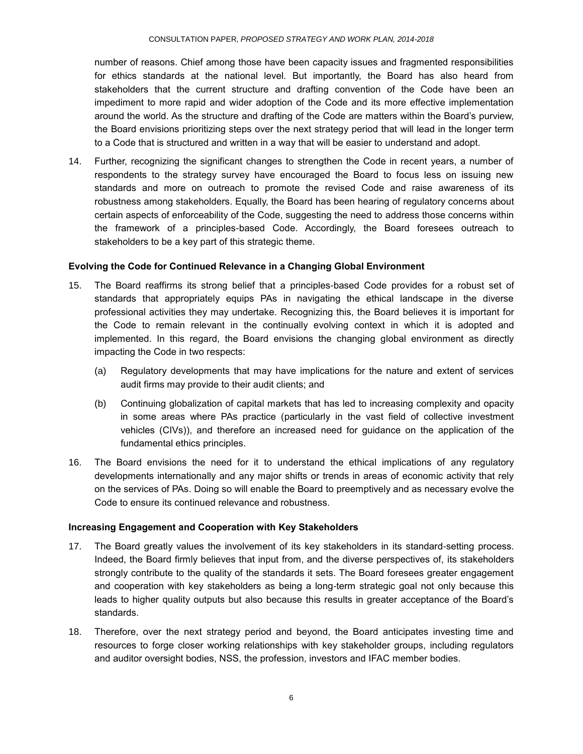number of reasons. Chief among those have been capacity issues and fragmented responsibilities for ethics standards at the national level. But importantly, the Board has also heard from stakeholders that the current structure and drafting convention of the Code have been an impediment to more rapid and wider adoption of the Code and its more effective implementation around the world. As the structure and drafting of the Code are matters within the Board's purview, the Board envisions prioritizing steps over the next strategy period that will lead in the longer term to a Code that is structured and written in a way that will be easier to understand and adopt.

14. Further, recognizing the significant changes to strengthen the Code in recent years, a number of respondents to the strategy survey have encouraged the Board to focus less on issuing new standards and more on outreach to promote the revised Code and raise awareness of its robustness among stakeholders. Equally, the Board has been hearing of regulatory concerns about certain aspects of enforceability of the Code, suggesting the need to address those concerns within the framework of a principles-based Code. Accordingly, the Board foresees outreach to stakeholders to be a key part of this strategic theme.

#### **Evolving the Code for Continued Relevance in a Changing Global Environment**

- 15. The Board reaffirms its strong belief that a principles-based Code provides for a robust set of standards that appropriately equips PAs in navigating the ethical landscape in the diverse professional activities they may undertake. Recognizing this, the Board believes it is important for the Code to remain relevant in the continually evolving context in which it is adopted and implemented. In this regard, the Board envisions the changing global environment as directly impacting the Code in two respects:
	- (a) Regulatory developments that may have implications for the nature and extent of services audit firms may provide to their audit clients; and
	- (b) Continuing globalization of capital markets that has led to increasing complexity and opacity in some areas where PAs practice (particularly in the vast field of collective investment vehicles (CIVs)), and therefore an increased need for guidance on the application of the fundamental ethics principles.
- 16. The Board envisions the need for it to understand the ethical implications of any regulatory developments internationally and any major shifts or trends in areas of economic activity that rely on the services of PAs. Doing so will enable the Board to preemptively and as necessary evolve the Code to ensure its continued relevance and robustness.

#### **Increasing Engagement and Cooperation with Key Stakeholders**

- 17. The Board greatly values the involvement of its key stakeholders in its standard-setting process. Indeed, the Board firmly believes that input from, and the diverse perspectives of, its stakeholders strongly contribute to the quality of the standards it sets. The Board foresees greater engagement and cooperation with key stakeholders as being a long-term strategic goal not only because this leads to higher quality outputs but also because this results in greater acceptance of the Board's standards.
- 18. Therefore, over the next strategy period and beyond, the Board anticipates investing time and resources to forge closer working relationships with key stakeholder groups, including regulators and auditor oversight bodies, NSS, the profession, investors and IFAC member bodies.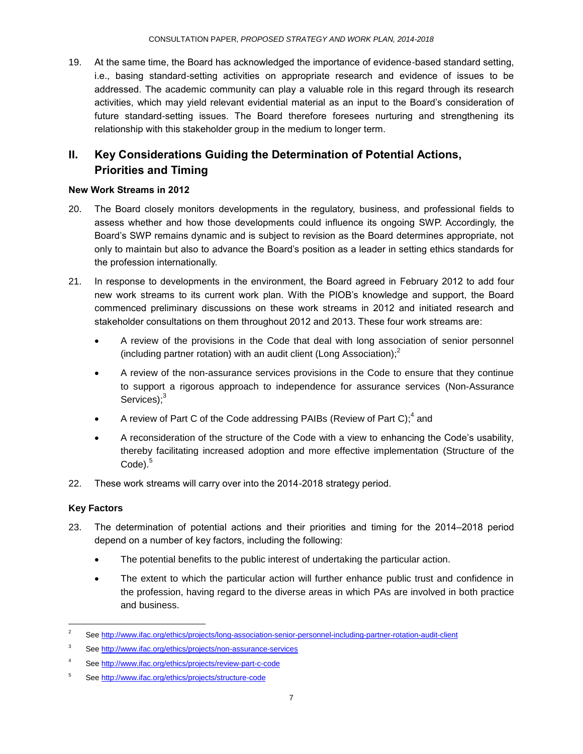19. At the same time, the Board has acknowledged the importance of evidence-based standard setting, i.e., basing standard-setting activities on appropriate research and evidence of issues to be addressed. The academic community can play a valuable role in this regard through its research activities, which may yield relevant evidential material as an input to the Board's consideration of future standard-setting issues. The Board therefore foresees nurturing and strengthening its relationship with this stakeholder group in the medium to longer term.

# **II. Key Considerations Guiding the Determination of Potential Actions, Priorities and Timing**

#### **New Work Streams in 2012**

- 20. The Board closely monitors developments in the regulatory, business, and professional fields to assess whether and how those developments could influence its ongoing SWP. Accordingly, the Board's SWP remains dynamic and is subject to revision as the Board determines appropriate, not only to maintain but also to advance the Board's position as a leader in setting ethics standards for the profession internationally.
- 21. In response to developments in the environment, the Board agreed in February 2012 to add four new work streams to its current work plan. With the PIOB's knowledge and support, the Board commenced preliminary discussions on these work streams in 2012 and initiated research and stakeholder consultations on them throughout 2012 and 2013. These four work streams are:
	- A review of the provisions in the Code that deal with long association of senior personnel (including partner rotation) with an audit client (Long Association); 2
	- A review of the non-assurance services provisions in the Code to ensure that they continue to support a rigorous approach to independence for assurance services (Non-Assurance Services);<sup>3</sup>
	- A review of Part C of the Code addressing PAIBs (Review of Part C);<sup>4</sup> and
	- A reconsideration of the structure of the Code with a view to enhancing the Code's usability, thereby facilitating increased adoption and more effective implementation (Structure of the Code).<sup>5</sup>
- 22. These work streams will carry over into the 2014-2018 strategy period.

# **Key Factors**

l

- 23. The determination of potential actions and their priorities and timing for the 2014–2018 period depend on a number of key factors, including the following:
	- The potential benefits to the public interest of undertaking the particular action.
	- The extent to which the particular action will further enhance public trust and confidence in the profession, having regard to the diverse areas in which PAs are involved in both practice and business.

<sup>&</sup>lt;sup>2</sup> Se[e http://www.ifac.org/ethics/projects/long-association-senior-personnel-including-partner-rotation-audit-client](http://www.ifac.org/ethics/projects/long-association-senior-personnel-including-partner-rotation-audit-client)

<sup>3</sup> Se[e http://www.ifac.org/ethics/projects/non-assurance-services](http://www.ifac.org/ethics/projects/non-assurance-services)

<sup>4</sup> Se[e http://www.ifac.org/ethics/projects/review-part-c-code](http://www.ifac.org/ethics/projects/review-part-c-code)

<sup>5</sup> Se[e http://www.ifac.org/ethics/projects/structure-code](http://www.ifac.org/ethics/projects/structure-code)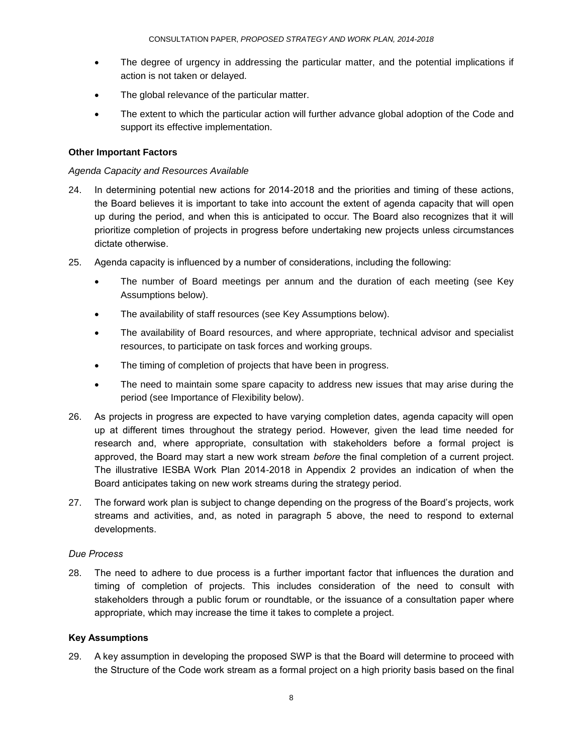- The degree of urgency in addressing the particular matter, and the potential implications if action is not taken or delayed.
- The global relevance of the particular matter.
- The extent to which the particular action will further advance global adoption of the Code and support its effective implementation.

#### **Other Important Factors**

#### *Agenda Capacity and Resources Available*

- 24. In determining potential new actions for 2014-2018 and the priorities and timing of these actions, the Board believes it is important to take into account the extent of agenda capacity that will open up during the period, and when this is anticipated to occur. The Board also recognizes that it will prioritize completion of projects in progress before undertaking new projects unless circumstances dictate otherwise.
- 25. Agenda capacity is influenced by a number of considerations, including the following:
	- The number of Board meetings per annum and the duration of each meeting (see Key Assumptions below).
	- The availability of staff resources (see Key Assumptions below).
	- The availability of Board resources, and where appropriate, technical advisor and specialist resources, to participate on task forces and working groups.
	- The timing of completion of projects that have been in progress.
	- The need to maintain some spare capacity to address new issues that may arise during the period (see Importance of Flexibility below).
- 26. As projects in progress are expected to have varying completion dates, agenda capacity will open up at different times throughout the strategy period. However, given the lead time needed for research and, where appropriate, consultation with stakeholders before a formal project is approved, the Board may start a new work stream *before* the final completion of a current project. The illustrative IESBA Work Plan 2014-2018 in Appendix 2 provides an indication of when the Board anticipates taking on new work streams during the strategy period.
- 27. The forward work plan is subject to change depending on the progress of the Board's projects, work streams and activities, and, as noted in paragraph 5 above, the need to respond to external developments.

#### *Due Process*

28. The need to adhere to due process is a further important factor that influences the duration and timing of completion of projects. This includes consideration of the need to consult with stakeholders through a public forum or roundtable, or the issuance of a consultation paper where appropriate, which may increase the time it takes to complete a project.

#### **Key Assumptions**

29. A key assumption in developing the proposed SWP is that the Board will determine to proceed with the Structure of the Code work stream as a formal project on a high priority basis based on the final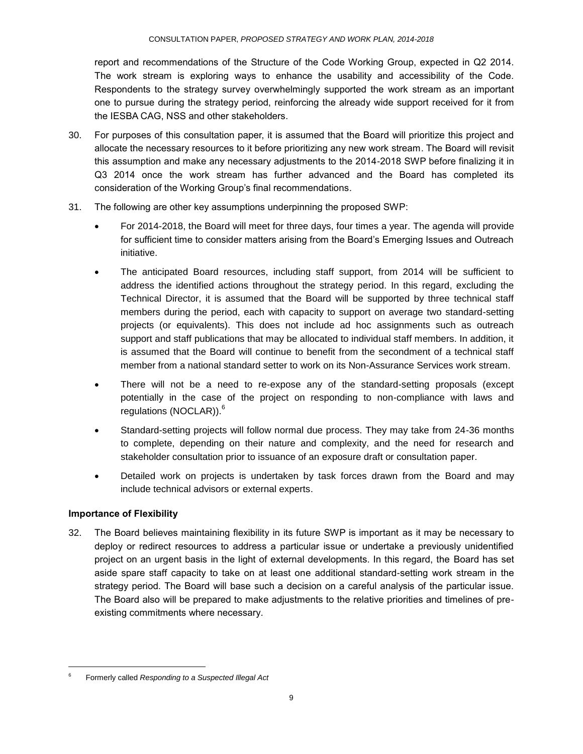report and recommendations of the Structure of the Code Working Group, expected in Q2 2014. The work stream is exploring ways to enhance the usability and accessibility of the Code. Respondents to the strategy survey overwhelmingly supported the work stream as an important one to pursue during the strategy period, reinforcing the already wide support received for it from the IESBA CAG, NSS and other stakeholders.

- 30. For purposes of this consultation paper, it is assumed that the Board will prioritize this project and allocate the necessary resources to it before prioritizing any new work stream. The Board will revisit this assumption and make any necessary adjustments to the 2014-2018 SWP before finalizing it in Q3 2014 once the work stream has further advanced and the Board has completed its consideration of the Working Group's final recommendations.
- 31. The following are other key assumptions underpinning the proposed SWP:
	- For 2014-2018, the Board will meet for three days, four times a year. The agenda will provide for sufficient time to consider matters arising from the Board's Emerging Issues and Outreach initiative.
	- The anticipated Board resources, including staff support, from 2014 will be sufficient to address the identified actions throughout the strategy period. In this regard, excluding the Technical Director, it is assumed that the Board will be supported by three technical staff members during the period, each with capacity to support on average two standard-setting projects (or equivalents). This does not include ad hoc assignments such as outreach support and staff publications that may be allocated to individual staff members. In addition, it is assumed that the Board will continue to benefit from the secondment of a technical staff member from a national standard setter to work on its Non-Assurance Services work stream.
	- There will not be a need to re-expose any of the standard-setting proposals (except potentially in the case of the project on responding to non-compliance with laws and regulations (NOCLAR)).<sup>6</sup>
	- Standard-setting projects will follow normal due process. They may take from 24-36 months to complete, depending on their nature and complexity, and the need for research and stakeholder consultation prior to issuance of an exposure draft or consultation paper.
	- Detailed work on projects is undertaken by task forces drawn from the Board and may include technical advisors or external experts.

#### **Importance of Flexibility**

l

32. The Board believes maintaining flexibility in its future SWP is important as it may be necessary to deploy or redirect resources to address a particular issue or undertake a previously unidentified project on an urgent basis in the light of external developments. In this regard, the Board has set aside spare staff capacity to take on at least one additional standard-setting work stream in the strategy period. The Board will base such a decision on a careful analysis of the particular issue. The Board also will be prepared to make adjustments to the relative priorities and timelines of preexisting commitments where necessary.

<sup>6</sup> Formerly called *Responding to a Suspected Illegal Act*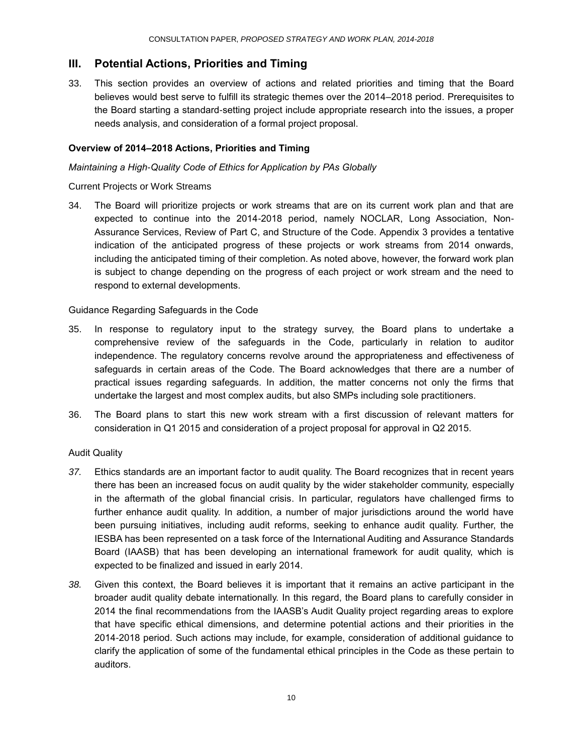# **III. Potential Actions, Priorities and Timing**

33. This section provides an overview of actions and related priorities and timing that the Board believes would best serve to fulfill its strategic themes over the 2014–2018 period. Prerequisites to the Board starting a standard-setting project include appropriate research into the issues, a proper needs analysis, and consideration of a formal project proposal.

#### **Overview of 2014–2018 Actions, Priorities and Timing**

*Maintaining a High-Quality Code of Ethics for Application by PAs Globally*

#### Current Projects or Work Streams

34. The Board will prioritize projects or work streams that are on its current work plan and that are expected to continue into the 2014-2018 period, namely NOCLAR, Long Association, Non-Assurance Services, Review of Part C, and Structure of the Code. Appendix 3 provides a tentative indication of the anticipated progress of these projects or work streams from 2014 onwards, including the anticipated timing of their completion. As noted above, however, the forward work plan is subject to change depending on the progress of each project or work stream and the need to respond to external developments.

#### Guidance Regarding Safeguards in the Code

- 35. In response to regulatory input to the strategy survey, the Board plans to undertake a comprehensive review of the safeguards in the Code, particularly in relation to auditor independence. The regulatory concerns revolve around the appropriateness and effectiveness of safeguards in certain areas of the Code. The Board acknowledges that there are a number of practical issues regarding safeguards. In addition, the matter concerns not only the firms that undertake the largest and most complex audits, but also SMPs including sole practitioners.
- 36. The Board plans to start this new work stream with a first discussion of relevant matters for consideration in Q1 2015 and consideration of a project proposal for approval in Q2 2015.

#### Audit Quality

- *37.* Ethics standards are an important factor to audit quality. The Board recognizes that in recent years there has been an increased focus on audit quality by the wider stakeholder community, especially in the aftermath of the global financial crisis. In particular, regulators have challenged firms to further enhance audit quality. In addition, a number of major jurisdictions around the world have been pursuing initiatives, including audit reforms, seeking to enhance audit quality. Further, the IESBA has been represented on a task force of the International Auditing and Assurance Standards Board (IAASB) that has been developing an international framework for audit quality, which is expected to be finalized and issued in early 2014.
- *38.* Given this context, the Board believes it is important that it remains an active participant in the broader audit quality debate internationally. In this regard, the Board plans to carefully consider in 2014 the final recommendations from the IAASB's Audit Quality project regarding areas to explore that have specific ethical dimensions, and determine potential actions and their priorities in the 2014-2018 period. Such actions may include, for example, consideration of additional guidance to clarify the application of some of the fundamental ethical principles in the Code as these pertain to auditors.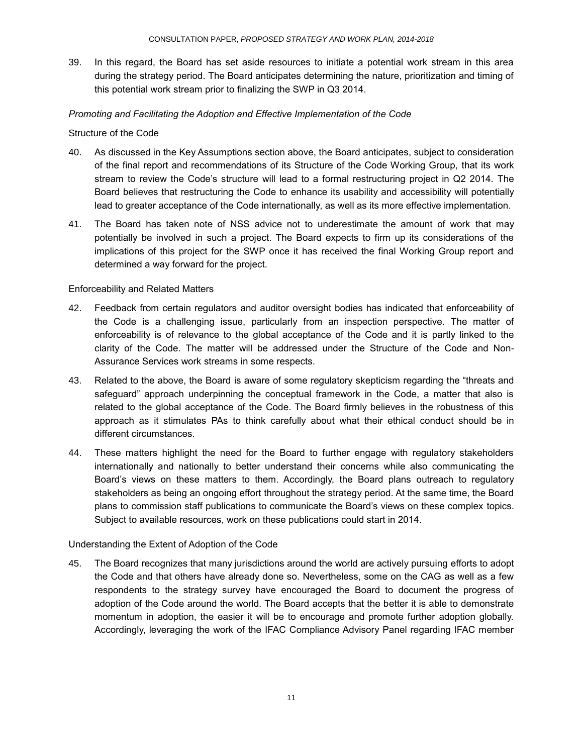39. In this regard, the Board has set aside resources to initiate a potential work stream in this area during the strategy period. The Board anticipates determining the nature, prioritization and timing of this potential work stream prior to finalizing the SWP in Q3 2014.

#### *Promoting and Facilitating the Adoption and Effective Implementation of the Code*

#### Structure of the Code

- 40. As discussed in the Key Assumptions section above, the Board anticipates, subject to consideration of the final report and recommendations of its Structure of the Code Working Group, that its work stream to review the Code's structure will lead to a formal restructuring project in Q2 2014. The Board believes that restructuring the Code to enhance its usability and accessibility will potentially lead to greater acceptance of the Code internationally, as well as its more effective implementation.
- 41. The Board has taken note of NSS advice not to underestimate the amount of work that may potentially be involved in such a project. The Board expects to firm up its considerations of the implications of this project for the SWP once it has received the final Working Group report and determined a way forward for the project.

#### Enforceability and Related Matters

- 42. Feedback from certain regulators and auditor oversight bodies has indicated that enforceability of the Code is a challenging issue, particularly from an inspection perspective. The matter of enforceability is of relevance to the global acceptance of the Code and it is partly linked to the clarity of the Code. The matter will be addressed under the Structure of the Code and Non-Assurance Services work streams in some respects.
- 43. Related to the above, the Board is aware of some regulatory skepticism regarding the "threats and safeguard" approach underpinning the conceptual framework in the Code, a matter that also is related to the global acceptance of the Code. The Board firmly believes in the robustness of this approach as it stimulates PAs to think carefully about what their ethical conduct should be in different circumstances.
- 44. These matters highlight the need for the Board to further engage with regulatory stakeholders internationally and nationally to better understand their concerns while also communicating the Board's views on these matters to them. Accordingly, the Board plans outreach to regulatory stakeholders as being an ongoing effort throughout the strategy period. At the same time, the Board plans to commission staff publications to communicate the Board's views on these complex topics. Subject to available resources, work on these publications could start in 2014.

#### Understanding the Extent of Adoption of the Code

45. The Board recognizes that many jurisdictions around the world are actively pursuing efforts to adopt the Code and that others have already done so. Nevertheless, some on the CAG as well as a few respondents to the strategy survey have encouraged the Board to document the progress of adoption of the Code around the world. The Board accepts that the better it is able to demonstrate momentum in adoption, the easier it will be to encourage and promote further adoption globally. Accordingly, leveraging the work of the IFAC Compliance Advisory Panel regarding IFAC member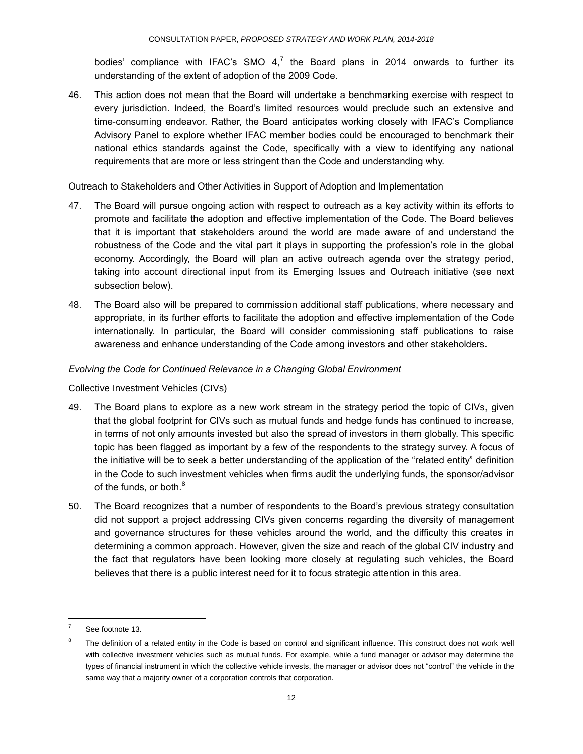bodies' compliance with IFAC's SMO  $4$ ,<sup>7</sup> the Board plans in 2014 onwards to further its understanding of the extent of adoption of the 2009 Code.

46. This action does not mean that the Board will undertake a benchmarking exercise with respect to every jurisdiction. Indeed, the Board's limited resources would preclude such an extensive and time-consuming endeavor. Rather, the Board anticipates working closely with IFAC's Compliance Advisory Panel to explore whether IFAC member bodies could be encouraged to benchmark their national ethics standards against the Code, specifically with a view to identifying any national requirements that are more or less stringent than the Code and understanding why.

Outreach to Stakeholders and Other Activities in Support of Adoption and Implementation

- 47. The Board will pursue ongoing action with respect to outreach as a key activity within its efforts to promote and facilitate the adoption and effective implementation of the Code. The Board believes that it is important that stakeholders around the world are made aware of and understand the robustness of the Code and the vital part it plays in supporting the profession's role in the global economy. Accordingly, the Board will plan an active outreach agenda over the strategy period, taking into account directional input from its Emerging Issues and Outreach initiative (see next subsection below).
- 48. The Board also will be prepared to commission additional staff publications, where necessary and appropriate, in its further efforts to facilitate the adoption and effective implementation of the Code internationally. In particular, the Board will consider commissioning staff publications to raise awareness and enhance understanding of the Code among investors and other stakeholders.

#### *Evolving the Code for Continued Relevance in a Changing Global Environment*

Collective Investment Vehicles (CIVs)

- 49. The Board plans to explore as a new work stream in the strategy period the topic of CIVs, given that the global footprint for CIVs such as mutual funds and hedge funds has continued to increase, in terms of not only amounts invested but also the spread of investors in them globally. This specific topic has been flagged as important by a few of the respondents to the strategy survey. A focus of the initiative will be to seek a better understanding of the application of the "related entity" definition in the Code to such investment vehicles when firms audit the underlying funds, the sponsor/advisor of the funds, or both.<sup>8</sup>
- 50. The Board recognizes that a number of respondents to the Board's previous strategy consultation did not support a project addressing CIVs given concerns regarding the diversity of management and governance structures for these vehicles around the world, and the difficulty this creates in determining a common approach. However, given the size and reach of the global CIV industry and the fact that regulators have been looking more closely at regulating such vehicles, the Board believes that there is a public interest need for it to focus strategic attention in this area.

l

See footnote 13.

<sup>8</sup> The definition of a related entity in the Code is based on control and significant influence. This construct does not work well with collective investment vehicles such as mutual funds. For example, while a fund manager or advisor may determine the types of financial instrument in which the collective vehicle invests, the manager or advisor does not "control" the vehicle in the same way that a majority owner of a corporation controls that corporation.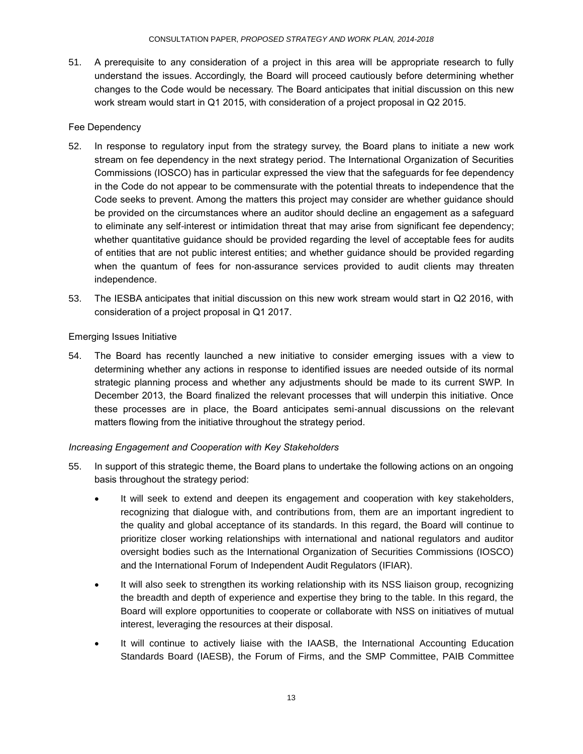51. A prerequisite to any consideration of a project in this area will be appropriate research to fully understand the issues. Accordingly, the Board will proceed cautiously before determining whether changes to the Code would be necessary. The Board anticipates that initial discussion on this new work stream would start in Q1 2015, with consideration of a project proposal in Q2 2015.

#### Fee Dependency

- 52. In response to regulatory input from the strategy survey, the Board plans to initiate a new work stream on fee dependency in the next strategy period. The International Organization of Securities Commissions (IOSCO) has in particular expressed the view that the safeguards for fee dependency in the Code do not appear to be commensurate with the potential threats to independence that the Code seeks to prevent. Among the matters this project may consider are whether guidance should be provided on the circumstances where an auditor should decline an engagement as a safeguard to eliminate any self-interest or intimidation threat that may arise from significant fee dependency; whether quantitative guidance should be provided regarding the level of acceptable fees for audits of entities that are not public interest entities; and whether guidance should be provided regarding when the quantum of fees for non-assurance services provided to audit clients may threaten independence.
- 53. The IESBA anticipates that initial discussion on this new work stream would start in Q2 2016, with consideration of a project proposal in Q1 2017.

Emerging Issues Initiative

54. The Board has recently launched a new initiative to consider emerging issues with a view to determining whether any actions in response to identified issues are needed outside of its normal strategic planning process and whether any adjustments should be made to its current SWP. In December 2013, the Board finalized the relevant processes that will underpin this initiative. Once these processes are in place, the Board anticipates semi-annual discussions on the relevant matters flowing from the initiative throughout the strategy period.

#### *Increasing Engagement and Cooperation with Key Stakeholders*

- 55. In support of this strategic theme, the Board plans to undertake the following actions on an ongoing basis throughout the strategy period:
	- It will seek to extend and deepen its engagement and cooperation with key stakeholders, recognizing that dialogue with, and contributions from, them are an important ingredient to the quality and global acceptance of its standards. In this regard, the Board will continue to prioritize closer working relationships with international and national regulators and auditor oversight bodies such as the International Organization of Securities Commissions (IOSCO) and the International Forum of Independent Audit Regulators (IFIAR).
	- It will also seek to strengthen its working relationship with its NSS liaison group, recognizing the breadth and depth of experience and expertise they bring to the table. In this regard, the Board will explore opportunities to cooperate or collaborate with NSS on initiatives of mutual interest, leveraging the resources at their disposal.
	- It will continue to actively liaise with the IAASB, the International Accounting Education Standards Board (IAESB), the Forum of Firms, and the SMP Committee, PAIB Committee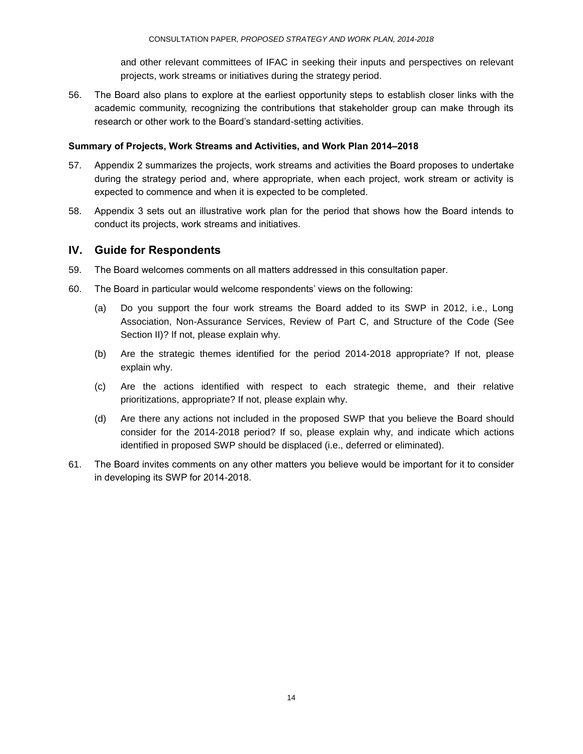and other relevant committees of IFAC in seeking their inputs and perspectives on relevant projects, work streams or initiatives during the strategy period.

56. The Board also plans to explore at the earliest opportunity steps to establish closer links with the academic community, recognizing the contributions that stakeholder group can make through its research or other work to the Board's standard-setting activities.

#### **Summary of Projects, Work Streams and Activities, and Work Plan 2014–2018**

- 57. Appendix 2 summarizes the projects, work streams and activities the Board proposes to undertake during the strategy period and, where appropriate, when each project, work stream or activity is expected to commence and when it is expected to be completed.
- 58. Appendix 3 sets out an illustrative work plan for the period that shows how the Board intends to conduct its projects, work streams and initiatives.

# **IV. Guide for Respondents**

- 59. The Board welcomes comments on all matters addressed in this consultation paper.
- 60. The Board in particular would welcome respondents' views on the following:
	- (a) Do you support the four work streams the Board added to its SWP in 2012, i.e., Long Association, Non-Assurance Services, Review of Part C, and Structure of the Code (See Section II)? If not, please explain why.
	- (b) Are the strategic themes identified for the period 2014-2018 appropriate? If not, please explain why.
	- (c) Are the actions identified with respect to each strategic theme, and their relative prioritizations, appropriate? If not, please explain why.
	- (d) Are there any actions not included in the proposed SWP that you believe the Board should consider for the 2014-2018 period? If so, please explain why, and indicate which actions identified in proposed SWP should be displaced (i.e., deferred or eliminated).
- 61. The Board invites comments on any other matters you believe would be important for it to consider in developing its SWP for 2014-2018.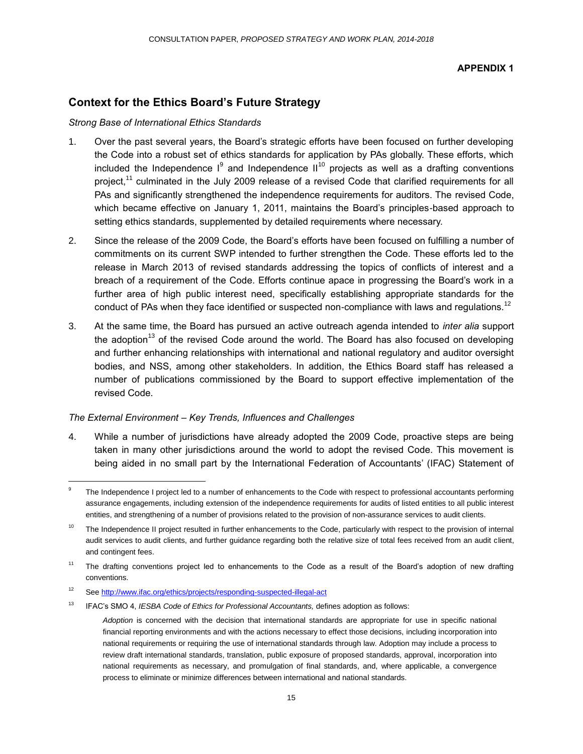#### **APPENDIX 1**

# **Context for the Ethics Board's Future Strategy**

#### *Strong Base of International Ethics Standards*

- 1. Over the past several years, the Board's strategic efforts have been focused on further developing the Code into a robust set of ethics standards for application by PAs globally. These efforts, which included the Independence  $I^9$  and Independence  $II^{10}$  projects as well as a drafting conventions project,<sup>11</sup> culminated in the July 2009 release of a revised Code that clarified requirements for all PAs and significantly strengthened the independence requirements for auditors. The revised Code, which became effective on January 1, 2011, maintains the Board's principles-based approach to setting ethics standards, supplemented by detailed requirements where necessary.
- 2. Since the release of the 2009 Code, the Board's efforts have been focused on fulfilling a number of commitments on its current SWP intended to further strengthen the Code. These efforts led to the release in March 2013 of revised standards addressing the topics of conflicts of interest and a breach of a requirement of the Code. Efforts continue apace in progressing the Board's work in a further area of high public interest need, specifically establishing appropriate standards for the conduct of PAs when they face identified or suspected non-compliance with laws and regulations.<sup>12</sup>
- 3. At the same time, the Board has pursued an active outreach agenda intended to *inter alia* support the adoption<sup>13</sup> of the revised Code around the world. The Board has also focused on developing and further enhancing relationships with international and national regulatory and auditor oversight bodies, and NSS, among other stakeholders. In addition, the Ethics Board staff has released a number of publications commissioned by the Board to support effective implementation of the revised Code.

#### *The External Environment – Key Trends, Influences and Challenges*

4. While a number of jurisdictions have already adopted the 2009 Code, proactive steps are being taken in many other jurisdictions around the world to adopt the revised Code. This movement is being aided in no small part by the International Federation of Accountants' (IFAC) Statement of

l

<sup>9</sup> The Independence I project led to a number of enhancements to the Code with respect to professional accountants performing assurance engagements, including extension of the independence requirements for audits of listed entities to all public interest entities, and strengthening of a number of provisions related to the provision of non-assurance services to audit clients.

<sup>&</sup>lt;sup>10</sup> The Independence II project resulted in further enhancements to the Code, particularly with respect to the provision of internal audit services to audit clients, and further guidance regarding both the relative size of total fees received from an audit client, and contingent fees.

<sup>&</sup>lt;sup>11</sup> The drafting conventions project led to enhancements to the Code as a result of the Board's adoption of new drafting conventions.

<sup>12</sup> Se[e http://www.ifac.org/ethics/projects/responding-suspected-illegal-act](http://www.ifac.org/ethics/projects/responding-suspected-illegal-act)

<sup>13</sup> IFAC's SMO 4, *IESBA Code of Ethics for Professional Accountants,* defines adoption as follows:

*Adoption* is concerned with the decision that international standards are appropriate for use in specific national financial reporting environments and with the actions necessary to effect those decisions, including incorporation into national requirements or requiring the use of international standards through law. Adoption may include a process to review draft international standards, translation, public exposure of proposed standards, approval, incorporation into national requirements as necessary, and promulgation of final standards, and, where applicable, a convergence process to eliminate or minimize differences between international and national standards.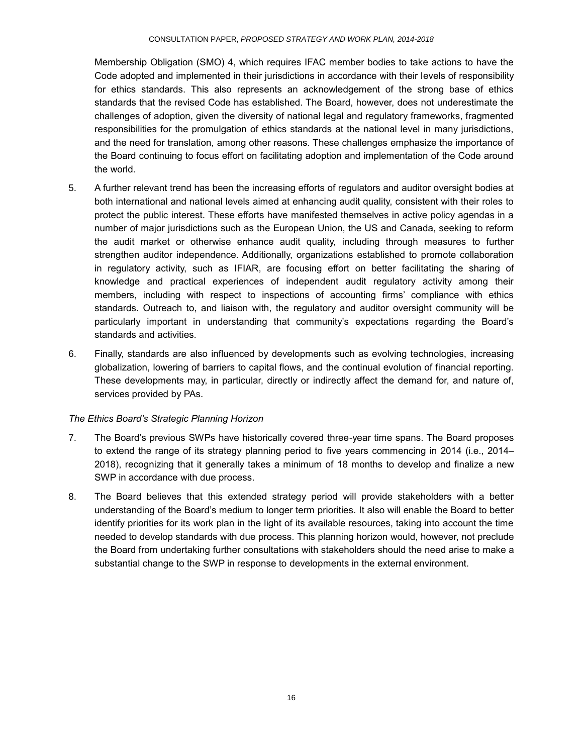Membership Obligation (SMO) 4, which requires IFAC member bodies to take actions to have the Code adopted and implemented in their jurisdictions in accordance with their levels of responsibility for ethics standards. This also represents an acknowledgement of the strong base of ethics standards that the revised Code has established. The Board, however, does not underestimate the challenges of adoption, given the diversity of national legal and regulatory frameworks, fragmented responsibilities for the promulgation of ethics standards at the national level in many jurisdictions, and the need for translation, among other reasons. These challenges emphasize the importance of the Board continuing to focus effort on facilitating adoption and implementation of the Code around the world.

- 5. A further relevant trend has been the increasing efforts of regulators and auditor oversight bodies at both international and national levels aimed at enhancing audit quality, consistent with their roles to protect the public interest. These efforts have manifested themselves in active policy agendas in a number of major jurisdictions such as the European Union, the US and Canada, seeking to reform the audit market or otherwise enhance audit quality, including through measures to further strengthen auditor independence. Additionally, organizations established to promote collaboration in regulatory activity, such as IFIAR, are focusing effort on better facilitating the sharing of knowledge and practical experiences of independent audit regulatory activity among their members, including with respect to inspections of accounting firms' compliance with ethics standards. Outreach to, and liaison with, the regulatory and auditor oversight community will be particularly important in understanding that community's expectations regarding the Board's standards and activities.
- 6. Finally, standards are also influenced by developments such as evolving technologies, increasing globalization, lowering of barriers to capital flows, and the continual evolution of financial reporting. These developments may, in particular, directly or indirectly affect the demand for, and nature of, services provided by PAs.

#### *The Ethics Board's Strategic Planning Horizon*

- 7. The Board's previous SWPs have historically covered three-year time spans. The Board proposes to extend the range of its strategy planning period to five years commencing in 2014 (i.e., 2014– 2018), recognizing that it generally takes a minimum of 18 months to develop and finalize a new SWP in accordance with due process.
- 8. The Board believes that this extended strategy period will provide stakeholders with a better understanding of the Board's medium to longer term priorities. It also will enable the Board to better identify priorities for its work plan in the light of its available resources, taking into account the time needed to develop standards with due process. This planning horizon would, however, not preclude the Board from undertaking further consultations with stakeholders should the need arise to make a substantial change to the SWP in response to developments in the external environment.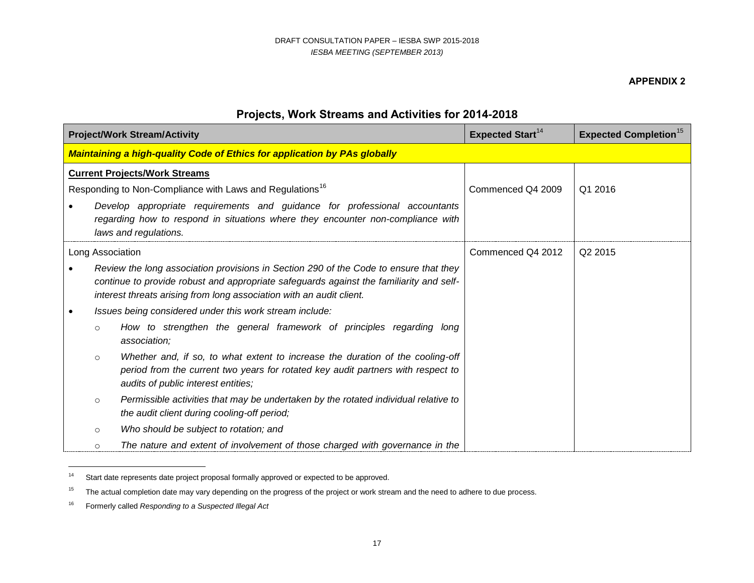#### **APPENDIX 2**

# **Projects, Work Streams and Activities for 2014-2018**

|                  | <b>Project/Work Stream/Activity</b>                                                                                                                                                                                                                      | <b>Expected Start</b> <sup>14</sup> | <b>Expected Completion<sup>15</sup></b> |
|------------------|----------------------------------------------------------------------------------------------------------------------------------------------------------------------------------------------------------------------------------------------------------|-------------------------------------|-----------------------------------------|
|                  | <b>Maintaining a high-quality Code of Ethics for application by PAs globally</b>                                                                                                                                                                         |                                     |                                         |
|                  | <b>Current Projects/Work Streams</b>                                                                                                                                                                                                                     |                                     |                                         |
|                  | Responding to Non-Compliance with Laws and Regulations <sup>16</sup>                                                                                                                                                                                     | Commenced Q4 2009                   | Q1 2016                                 |
|                  | Develop appropriate requirements and guidance for professional accountants<br>regarding how to respond in situations where they encounter non-compliance with<br>laws and regulations.                                                                   |                                     |                                         |
| Long Association |                                                                                                                                                                                                                                                          | Commenced Q4 2012                   | Q <sub>2</sub> 2015                     |
|                  | Review the long association provisions in Section 290 of the Code to ensure that they<br>continue to provide robust and appropriate safeguards against the familiarity and self-<br>interest threats arising from long association with an audit client. |                                     |                                         |
|                  | Issues being considered under this work stream include:                                                                                                                                                                                                  |                                     |                                         |
| $\circ$          | How to strengthen the general framework of principles regarding long<br>association;                                                                                                                                                                     |                                     |                                         |
| $\circ$          | Whether and, if so, to what extent to increase the duration of the cooling-off<br>period from the current two years for rotated key audit partners with respect to<br>audits of public interest entities;                                                |                                     |                                         |
| $\circ$          | Permissible activities that may be undertaken by the rotated individual relative to<br>the audit client during cooling-off period;                                                                                                                       |                                     |                                         |
| $\circ$          | Who should be subject to rotation; and                                                                                                                                                                                                                   |                                     |                                         |
| $\circ$          | The nature and extent of involvement of those charged with governance in the                                                                                                                                                                             |                                     |                                         |

<sup>&</sup>lt;sup>14</sup> Start date represents date project proposal formally approved or expected to be approved.

<sup>&</sup>lt;sup>15</sup> The actual completion date may vary depending on the progress of the project or work stream and the need to adhere to due process.

<sup>16</sup> Formerly called *Responding to a Suspected Illegal Act*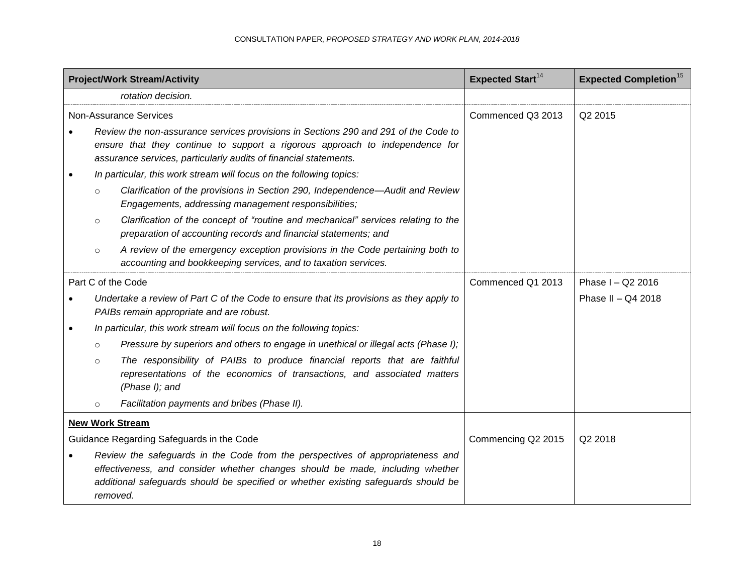|         | <b>Project/Work Stream/Activity</b>                                                                                                                                                                                                                               | <b>Expected Start</b> <sup>14</sup> | <b>Expected Completion</b> <sup>15</sup> |
|---------|-------------------------------------------------------------------------------------------------------------------------------------------------------------------------------------------------------------------------------------------------------------------|-------------------------------------|------------------------------------------|
|         | rotation decision.                                                                                                                                                                                                                                                |                                     |                                          |
|         | <b>Non-Assurance Services</b>                                                                                                                                                                                                                                     | Commenced Q3 2013                   | Q2 2015                                  |
|         | Review the non-assurance services provisions in Sections 290 and 291 of the Code to<br>ensure that they continue to support a rigorous approach to independence for<br>assurance services, particularly audits of financial statements.                           |                                     |                                          |
|         | In particular, this work stream will focus on the following topics:                                                                                                                                                                                               |                                     |                                          |
| $\circ$ | Clarification of the provisions in Section 290, Independence-Audit and Review<br>Engagements, addressing management responsibilities;                                                                                                                             |                                     |                                          |
| $\circ$ | Clarification of the concept of "routine and mechanical" services relating to the<br>preparation of accounting records and financial statements; and                                                                                                              |                                     |                                          |
| $\circ$ | A review of the emergency exception provisions in the Code pertaining both to<br>accounting and bookkeeping services, and to taxation services.                                                                                                                   |                                     |                                          |
|         | Part C of the Code                                                                                                                                                                                                                                                | Commenced Q1 2013                   | Phase I - Q2 2016                        |
|         | Undertake a review of Part C of the Code to ensure that its provisions as they apply to<br>PAIBs remain appropriate and are robust.                                                                                                                               |                                     | Phase II - Q4 2018                       |
|         | In particular, this work stream will focus on the following topics:                                                                                                                                                                                               |                                     |                                          |
| $\circ$ | Pressure by superiors and others to engage in unethical or illegal acts (Phase I);                                                                                                                                                                                |                                     |                                          |
| $\circ$ | The responsibility of PAIBs to produce financial reports that are faithful<br>representations of the economics of transactions, and associated matters<br>(Phase I); and                                                                                          |                                     |                                          |
| $\circ$ | Facilitation payments and bribes (Phase II).                                                                                                                                                                                                                      |                                     |                                          |
|         | <b>New Work Stream</b>                                                                                                                                                                                                                                            |                                     |                                          |
|         | Guidance Regarding Safeguards in the Code                                                                                                                                                                                                                         | Commencing Q2 2015                  | Q2 2018                                  |
|         | Review the safeguards in the Code from the perspectives of appropriateness and<br>effectiveness, and consider whether changes should be made, including whether<br>additional safeguards should be specified or whether existing safeguards should be<br>removed. |                                     |                                          |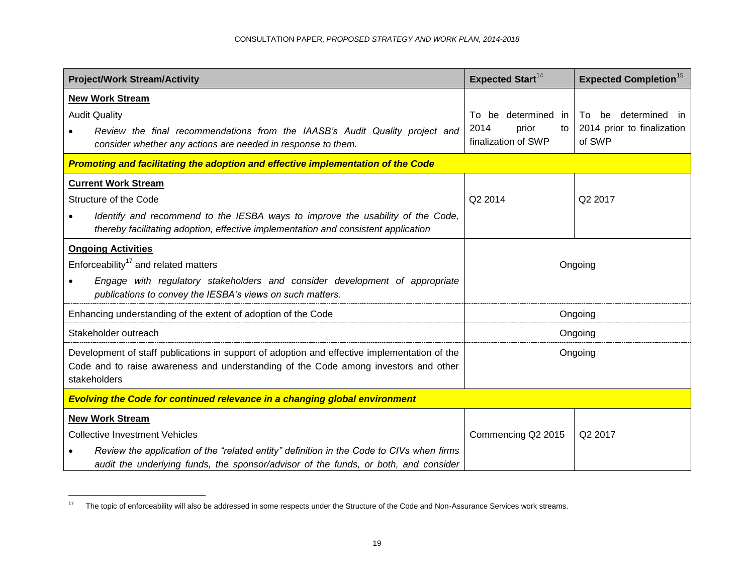| <b>Project/Work Stream/Activity</b>                                                                                                                                  | <b>Expected Start<sup>14</sup></b>         | <b>Expected Completion<sup>15</sup></b> |  |  |
|----------------------------------------------------------------------------------------------------------------------------------------------------------------------|--------------------------------------------|-----------------------------------------|--|--|
| <b>New Work Stream</b>                                                                                                                                               |                                            |                                         |  |  |
| <b>Audit Quality</b>                                                                                                                                                 | be determined in<br>To:                    | determined in<br>To be                  |  |  |
| Review the final recommendations from the IAASB's Audit Quality project and<br>consider whether any actions are needed in response to them.                          | 2014<br>prior<br>to<br>finalization of SWP | 2014 prior to finalization<br>of SWP    |  |  |
| Promoting and facilitating the adoption and effective implementation of the Code                                                                                     |                                            |                                         |  |  |
| <b>Current Work Stream</b>                                                                                                                                           |                                            |                                         |  |  |
| Structure of the Code                                                                                                                                                | Q2 2014                                    | Q2 2017                                 |  |  |
| Identify and recommend to the IESBA ways to improve the usability of the Code,<br>thereby facilitating adoption, effective implementation and consistent application |                                            |                                         |  |  |
| <b>Ongoing Activities</b>                                                                                                                                            |                                            |                                         |  |  |
| Enforceability <sup>17</sup> and related matters                                                                                                                     | Ongoing                                    |                                         |  |  |
| Engage with regulatory stakeholders and consider development of appropriate<br>publications to convey the IESBA's views on such matters.                             |                                            |                                         |  |  |
| Enhancing understanding of the extent of adoption of the Code                                                                                                        | Ongoing                                    |                                         |  |  |
| Stakeholder outreach                                                                                                                                                 |                                            | Ongoing                                 |  |  |
| Development of staff publications in support of adoption and effective implementation of the                                                                         |                                            | Ongoing                                 |  |  |
| Code and to raise awareness and understanding of the Code among investors and other<br>stakeholders                                                                  |                                            |                                         |  |  |
| <b>Evolving the Code for continued relevance in a changing global environment</b>                                                                                    |                                            |                                         |  |  |
| <b>New Work Stream</b>                                                                                                                                               |                                            |                                         |  |  |
| <b>Collective Investment Vehicles</b>                                                                                                                                | Commencing Q2 2015                         | Q2 2017                                 |  |  |
| Review the application of the "related entity" definition in the Code to CIVs when firms                                                                             |                                            |                                         |  |  |
| audit the underlying funds, the sponsor/advisor of the funds, or both, and consider                                                                                  |                                            |                                         |  |  |

<sup>&</sup>lt;sup>17</sup> The topic of enforceability will also be addressed in some respects under the Structure of the Code and Non-Assurance Services work streams.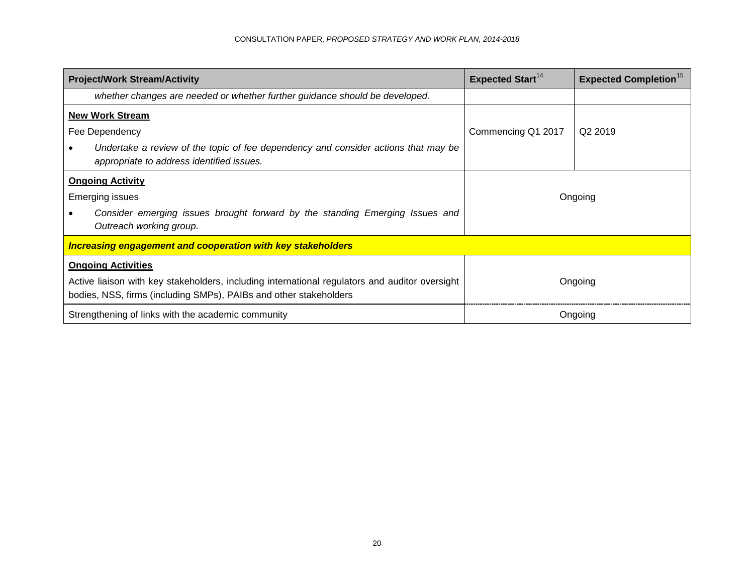| <b>Project/Work Stream/Activity</b>                                                                                                                                                              | <b>Expected Start</b> <sup>14</sup> | <b>Expected Completion</b> <sup>15</sup> |  |
|--------------------------------------------------------------------------------------------------------------------------------------------------------------------------------------------------|-------------------------------------|------------------------------------------|--|
| whether changes are needed or whether further guidance should be developed.                                                                                                                      |                                     |                                          |  |
| <b>New Work Stream</b><br>Fee Dependency<br>Undertake a review of the topic of fee dependency and consider actions that may be<br>appropriate to address identified issues.                      | Commencing Q1 2017                  | Q <sub>2</sub> 2019                      |  |
| <b>Ongoing Activity</b><br><b>Emerging issues</b><br>Consider emerging issues brought forward by the standing Emerging Issues and<br>Outreach working group.                                     | Ongoing                             |                                          |  |
| <b>Increasing engagement and cooperation with key stakeholders</b>                                                                                                                               |                                     |                                          |  |
| <b>Ongoing Activities</b><br>Active liaison with key stakeholders, including international regulators and auditor oversight<br>bodies, NSS, firms (including SMPs), PAIBs and other stakeholders |                                     | Ongoing                                  |  |
| Strengthening of links with the academic community                                                                                                                                               |                                     | Ongoing                                  |  |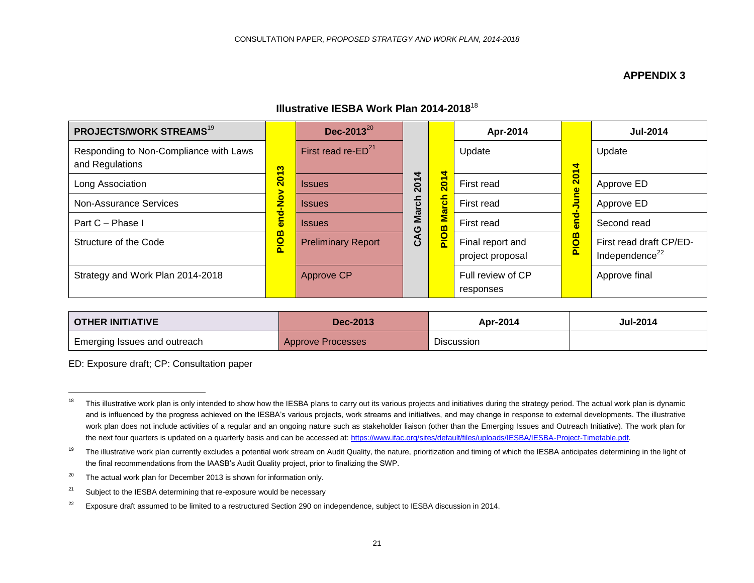# **APPENDIX 3**

# **Illustrative IESBA Work Plan 2014-2018**<sup>18</sup>

| <b>PROJECTS/WORK STREAMS<sup>19</sup></b>                 |                         | Dec-2013 $^{20}$          |             |                  | Apr-2014                             |                         | <b>Jul-2014</b>                                       |
|-----------------------------------------------------------|-------------------------|---------------------------|-------------|------------------|--------------------------------------|-------------------------|-------------------------------------------------------|
| Responding to Non-Compliance with Laws<br>and Regulations | S                       | First read re- $ED21$     |             | 4                | Update                               | ₹<br>$\blacksquare$     | Update                                                |
| Long Association                                          | $\overline{\mathbf{S}}$ | <b>Issues</b>             | 201         | $\overline{201}$ | First read                           | $\overline{\mathbf{S}}$ | Approve ED                                            |
| Non-Assurance Services                                    | $\mathbf{\hat{z}}$      | <b>Issues</b>             | ē           | March            | First read                           |                         | Approve ED                                            |
| Part C - Phase I                                          | ठ<br>ē۵                 | <b>Issues</b>             | g<br>ပ      |                  | First read                           | ಕ<br>ā                  | Second read                                           |
| Structure of the Code                                     | PIOB                    | <b>Preliminary Report</b> | $\tilde{c}$ | PIOB             | Final report and<br>project proposal | PIOB                    | First read draft CP/ED-<br>Independence <sup>22</sup> |
| Strategy and Work Plan 2014-2018                          |                         | <b>Approve CP</b>         |             |                  | Full review of CP<br>responses       |                         | Approve final                                         |

| <b>OTHER INITIATIVE</b>      | Dec-2013          | Apr-2014          | <b>Jul-2014</b> |
|------------------------------|-------------------|-------------------|-----------------|
| Emerging Issues and outreach | Approve Processes | <b>Discussion</b> |                 |

ED: Exposure draft; CP: Consultation paper

<sup>&</sup>lt;sup>18</sup> This illustrative work plan is only intended to show how the IESBA plans to carry out its various projects and initiatives during the strategy period. The actual work plan is dynamic and is influenced by the progress achieved on the IESBA's various projects, work streams and initiatives, and may change in response to external developments. The illustrative work plan does not include activities of a regular and an ongoing nature such as stakeholder liaison (other than the Emerging Issues and Outreach Initiative). The work plan for the next four quarters is updated on a quarterly basis and can be accessed at[: https://www.ifac.org/sites/default/files/uploads/IESBA/IESBA-Project-Timetable.pdf.](https://www.ifac.org/sites/default/files/uploads/IESBA/IESBA-Project-Timetable.pdf)

<sup>&</sup>lt;sup>19</sup> The illustrative work plan currently excludes a potential work stream on Audit Quality, the nature, prioritization and timing of which the IESBA anticipates determining in the light of the final recommendations from the IAASB's Audit Quality project, prior to finalizing the SWP.

 $20$  The actual work plan for December 2013 is shown for information only.

 $21$  Subject to the IESBA determining that re-exposure would be necessary

<sup>&</sup>lt;sup>22</sup> Exposure draft assumed to be limited to a restructured Section 290 on independence, subject to IESBA discussion in 2014.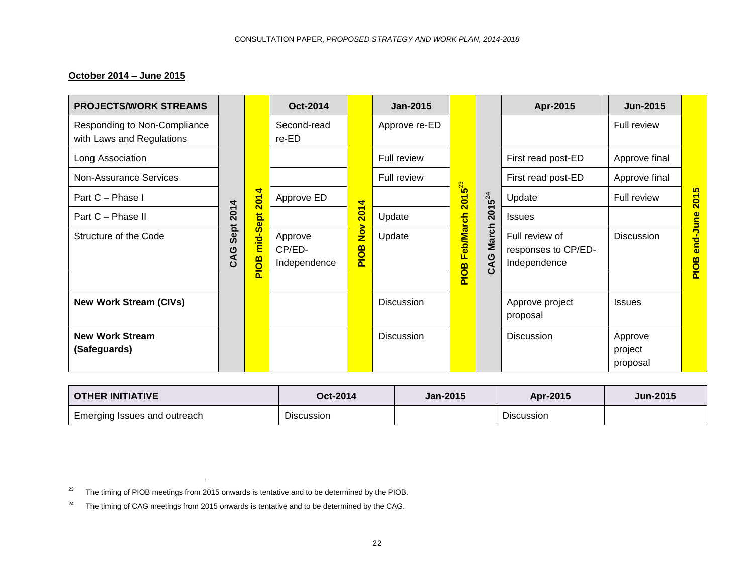# **October 2014 – June 2015**

| <b>PROJECTS/WORK STREAMS</b>                              |                                     |                  | Oct-2014                          |                       | <b>Jan-2015</b>   |                                     |                     | Apr-2015                                              | <b>Jun-2015</b>                |                       |
|-----------------------------------------------------------|-------------------------------------|------------------|-----------------------------------|-----------------------|-------------------|-------------------------------------|---------------------|-------------------------------------------------------|--------------------------------|-----------------------|
| Responding to Non-Compliance<br>with Laws and Regulations |                                     |                  | Second-read<br>re-ED              |                       | Approve re-ED     |                                     |                     |                                                       | Full review                    |                       |
| Long Association                                          |                                     |                  |                                   |                       | Full review       |                                     |                     | First read post-ED                                    | Approve final                  |                       |
| <b>Non-Assurance Services</b>                             |                                     |                  |                                   |                       | Full review       |                                     |                     | First read post-ED                                    | Approve final                  |                       |
| Part C - Phase I                                          |                                     | 4<br><b>201</b>  | Approve ED                        | 4                     |                   | <b>B</b> <sub>3</sub><br><b>201</b> | $2015^{24}$         | Update                                                | Full review                    | $\overline{5}$<br>201 |
| Part C - Phase II                                         | 2014                                |                  |                                   | 201.                  | Update            |                                     |                     | <b>Issues</b>                                         |                                |                       |
| Structure of the Code                                     | Sept<br>$\mathbf{A}$<br>$\mathbf C$ | mid-Sept<br>PIOB | Approve<br>CP/ED-<br>Independence | $\frac{1}{2}$<br>PIOB | Update            | <b>Feb/March</b><br>PIOB            | <b>March</b><br>CAG | Full review of<br>responses to CP/ED-<br>Independence | <b>Discussion</b>              | end-June<br>PIOB      |
|                                                           |                                     |                  |                                   |                       |                   |                                     |                     |                                                       |                                |                       |
| <b>New Work Stream (CIVs)</b>                             |                                     |                  |                                   |                       | <b>Discussion</b> |                                     |                     | Approve project<br>proposal                           | <b>Issues</b>                  |                       |
| <b>New Work Stream</b><br>(Safeguards)                    |                                     |                  |                                   |                       | <b>Discussion</b> |                                     |                     | <b>Discussion</b>                                     | Approve<br>project<br>proposal |                       |

| <b>OTHER INITIATIVE</b>      | Oct-2014          | <b>Jan-2015</b> | Apr-2015          | <b>Jun-2015</b> |
|------------------------------|-------------------|-----------------|-------------------|-----------------|
| Emerging Issues and outreach | <b>Discussion</b> |                 | <b>Discussion</b> |                 |

 $23$  The timing of PIOB meetings from 2015 onwards is tentative and to be determined by the PIOB.

 $24$  The timing of CAG meetings from 2015 onwards is tentative and to be determined by the CAG.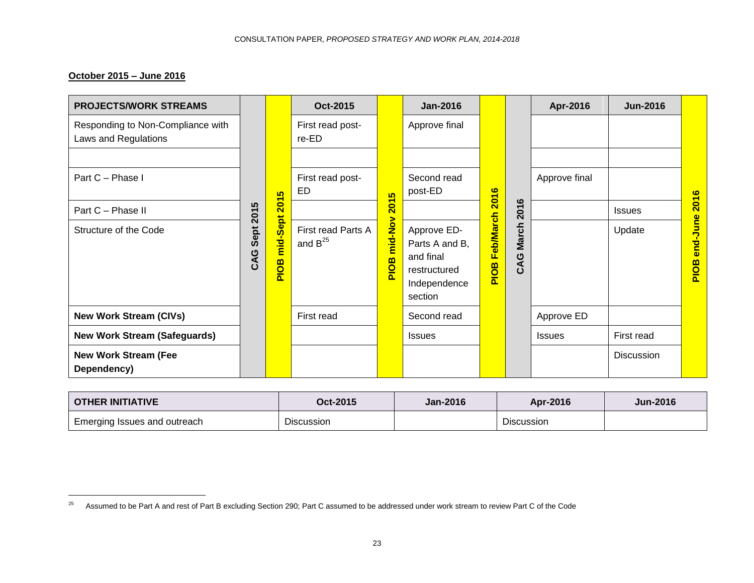# **October 2015 – June 2016**

| <b>PROJECTS/WORK STREAMS</b>                              |             |                  | Oct-2015                           |                                                | <b>Jan-2016</b>                                                                       |                          |                                     | Apr-2016      | <b>Jun-2016</b> |                         |
|-----------------------------------------------------------|-------------|------------------|------------------------------------|------------------------------------------------|---------------------------------------------------------------------------------------|--------------------------|-------------------------------------|---------------|-----------------|-------------------------|
| Responding to Non-Compliance with<br>Laws and Regulations |             |                  | First read post-<br>re-ED          |                                                | Approve final                                                                         |                          |                                     |               |                 |                         |
| Part C - Phase I                                          |             |                  | First read post-                   |                                                | Second read                                                                           |                          |                                     | Approve final |                 |                         |
|                                                           |             | 5                | ED                                 | 5                                              | post-ED                                                                               | 2016                     |                                     |               |                 | $\bullet$               |
| Part C - Phase II                                         | ທ<br>201    | 201              |                                    | $\overline{\delta}$<br>$\overline{\mathbf{N}}$ |                                                                                       |                          | 2016                                |               | <b>Issues</b>   | 201                     |
| Structure of the Code                                     | Sept<br>CAG | mid-Sept<br>PIOB | First read Parts A<br>and $B^{25}$ | mid-Nov<br>PIOB                                | Approve ED-<br>Parts A and B,<br>and final<br>restructured<br>Independence<br>section | <b>Feb/March</b><br>PIOB | <b>March</b><br>ပ<br>$\mathfrak{L}$ |               | Update          | end-June<br><b>BOIA</b> |
| <b>New Work Stream (CIVs)</b>                             |             |                  | First read                         |                                                | Second read                                                                           |                          |                                     | Approve ED    |                 |                         |
| <b>New Work Stream (Safeguards)</b>                       |             |                  |                                    |                                                | <b>Issues</b>                                                                         |                          |                                     | <b>Issues</b> | First read      |                         |
| <b>New Work Stream (Fee</b><br>Dependency)                |             |                  |                                    |                                                |                                                                                       |                          |                                     |               | Discussion      |                         |

| <b>OTHER INITIATIVE</b>                   | Oct-2015   | <b>Jan-2016</b> | Apr-2016          | <b>Jun-2016</b> |
|-------------------------------------------|------------|-----------------|-------------------|-----------------|
| <sup>1</sup> Emerging Issues and outreach | Discussion |                 | <b>Discussion</b> |                 |

<sup>&</sup>lt;sup>25</sup> Assumed to be Part A and rest of Part B excluding Section 290; Part C assumed to be addressed under work stream to review Part C of the Code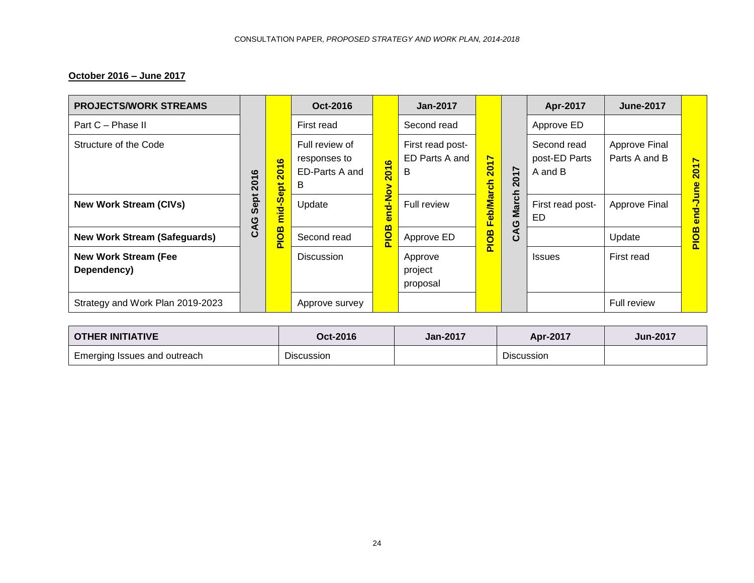# **October 2016 – June 2017**

| <b>PROJECTS/WORK STREAMS</b>               |           |                                                                 | Oct-2016                                                                  |                                                                 | <b>Jan-2017</b>                         |                                                                             |              | Apr-2017                                                          | <b>June-2017</b>               |                                                     |
|--------------------------------------------|-----------|-----------------------------------------------------------------|---------------------------------------------------------------------------|-----------------------------------------------------------------|-----------------------------------------|-----------------------------------------------------------------------------|--------------|-------------------------------------------------------------------|--------------------------------|-----------------------------------------------------|
| Part C - Phase II                          |           |                                                                 | First read                                                                |                                                                 | Second read                             |                                                                             |              | Approve ED                                                        |                                |                                                     |
| Structure of the Code                      | 2016      | $\bullet$<br>$\overline{\phantom{0}}$<br>$\overline{20}$<br>ēpt | Full review of<br>responses to<br>ED-Parts A and<br>B                     | $\overline{6}$<br>$\overline{\mathbf{5}}$<br>$\bar{\mathbf{N}}$ | First read post-<br>ED Parts A and<br>B | $\blacktriangleright$<br>$\overline{\phantom{0}}$<br>$\bf \overline{\bf 8}$ | 2017         | Second read<br>post-ED Parts<br>A and B<br>First read post-<br>ED | Approve Final<br>Parts A and B | $\blacktriangleright$<br>$\overline{201}$<br>Φ<br>Ŝ |
| <b>New Work Stream (CIVs)</b>              | Sept<br>ပ | <u>ທ</u><br>$\frac{1}{2}$<br>Ξ                                  | Update                                                                    | <u>ioN-p</u><br>c<br>Ф                                          | <b>Full review</b>                      | Feb/March                                                                   | <b>March</b> |                                                                   | Approve Final                  | l <sub>c-ba</sub>                                   |
| <b>New Work Stream (Safeguards)</b>        | ဦ         | <b>ao</b><br>$\mathbf{a}$                                       | മ<br>$\frac{\overline{\mathsf{O}}}{\overline{\mathsf{D}}}$<br>Second read | Approve ED                                                      | PIOB                                    | CAG I                                                                       |              | Update                                                            | <b>PIOB</b>                    |                                                     |
| <b>New Work Stream (Fee</b><br>Dependency) |           |                                                                 | <b>Discussion</b>                                                         |                                                                 | Approve<br>project<br>proposal          |                                                                             |              | <b>Issues</b>                                                     | First read                     |                                                     |
| Strategy and Work Plan 2019-2023           |           |                                                                 | Approve survey                                                            |                                                                 |                                         |                                                                             |              |                                                                   | Full review                    |                                                     |

| <b>OTHER INITIATIVE</b>      | Oct-2016          | <b>Jan-2017</b> | Apr-2017          | <b>Jun-2017</b> |
|------------------------------|-------------------|-----------------|-------------------|-----------------|
| Emerging Issues and outreach | <b>Discussion</b> |                 | <b>Discussion</b> |                 |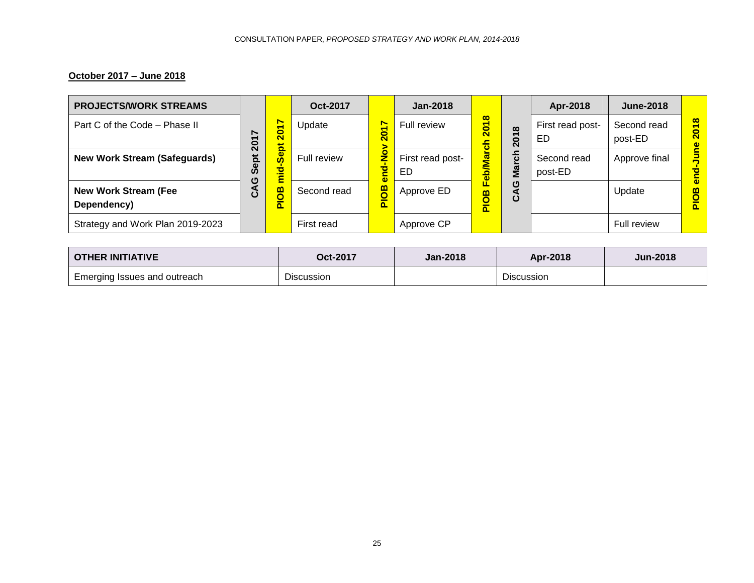# **October 2017 – June 2018**

| <b>PROJECTS/WORK STREAMS</b>               |          |           | Oct-2017    |                                                     | Jan-2018               |                                   |                                                                 | Apr-2018               | <b>June-2018</b>       |                                                       |
|--------------------------------------------|----------|-----------|-------------|-----------------------------------------------------|------------------------|-----------------------------------|-----------------------------------------------------------------|------------------------|------------------------|-------------------------------------------------------|
| Part C of the Code - Phase II              | ∼<br>201 | 0<br>๙    | Update      | $\overline{\phantom{0}}$<br>$\overline{\mathbf{S}}$ | Full review            | $\infty$<br><u>ន</u><br>$\bullet$ | $\infty$<br>$\overline{\phantom{0}}$<br>$\overline{\mathbf{S}}$ | First read post-<br>ED | Second read<br>post-ED | $\infty$<br>$\bullet$<br>$\overline{\mathbf{c}}$<br>ወ |
| <b>New Work Stream (Safeguards)</b>        | Sept     | ಠ<br>-    | Full review | o<br>z<br>ō<br>۵                                    | First read post-<br>ED | g<br>$\overline{\mathbf{a}}$      | 동<br>Σã                                                         | Second read<br>post-ED | Approve final          |                                                       |
| <b>New Work Stream (Fee</b><br>Dependency) | ပ        | <u>π.</u> | Second read | BO<br>ñ.                                            | Approve ED             | $\mathbf{m}$<br>ñ                 | ტ<br>ပိ                                                         |                        | Update                 |                                                       |
| Strategy and Work Plan 2019-2023           |          |           | First read  |                                                     | Approve CP             |                                   |                                                                 |                        | Full review            |                                                       |

| <b>OTHER INITIATIVE</b>             | Oct-2017          | <b>Jan-2018</b> | Apr-2018          | <b>Jun-2018</b> |
|-------------------------------------|-------------------|-----------------|-------------------|-----------------|
| <b>Emerging Issues and outreach</b> | <b>Discussion</b> |                 | <b>Discussion</b> |                 |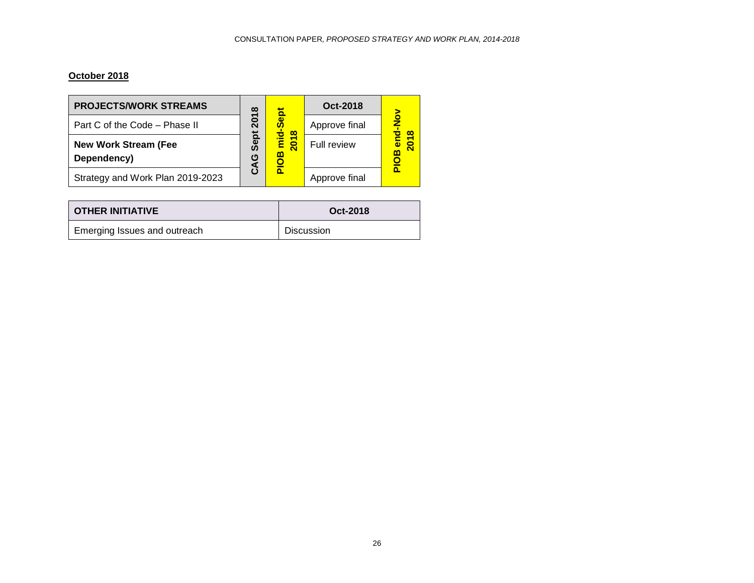# **October 2018**

| <b>PROJECTS/WORK STREAMS</b>               | $\infty$<br>201 | ъ                                    | Oct-2018      |                    |  |
|--------------------------------------------|-----------------|--------------------------------------|---------------|--------------------|--|
| Part C of the Code - Phase II              |                 | $\infty$                             | Approve final | $\frac{8}{2}$<br>œ |  |
| <b>New Work Stream (Fee</b><br>Dependency) | Sept<br>Q       | $\frac{1}{2}$<br>$\overline{5}$<br>മ | Full review   | m                  |  |
| Strategy and Work Plan 2019-2023           |                 |                                      | Approve final |                    |  |

| <b>OTHER INITIATIVE</b>      | Oct-2018          |  |  |
|------------------------------|-------------------|--|--|
| Emerging Issues and outreach | <b>Discussion</b> |  |  |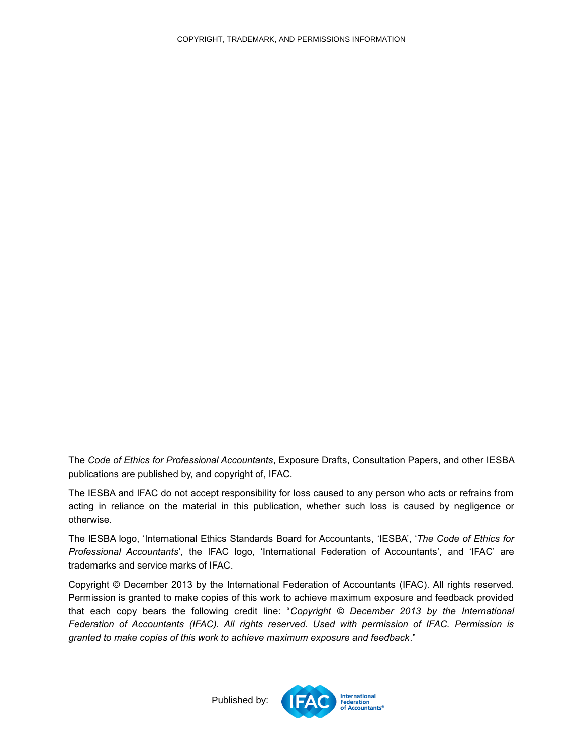<span id="page-26-0"></span>The *Code of Ethics for Professional Accountants*, Exposure Drafts, Consultation Papers, and other IESBA publications are published by, and copyright of, IFAC.

The IESBA and IFAC do not accept responsibility for loss caused to any person who acts or refrains from acting in reliance on the material in this publication, whether such loss is caused by negligence or otherwise.

The IESBA logo, 'International Ethics Standards Board for Accountants, 'IESBA', '*The Code of Ethics for Professional Accountants*', the IFAC logo, 'International Federation of Accountants', and 'IFAC' are trademarks and service marks of IFAC.

Copyright © December 2013 by the International Federation of Accountants (IFAC). All rights reserved. Permission is granted to make copies of this work to achieve maximum exposure and feedback provided that each copy bears the following credit line: "*Copyright © December 2013 by the International Federation of Accountants (IFAC). All rights reserved. Used with permission of IFAC. Permission is granted to make copies of this work to achieve maximum exposure and feedback*."